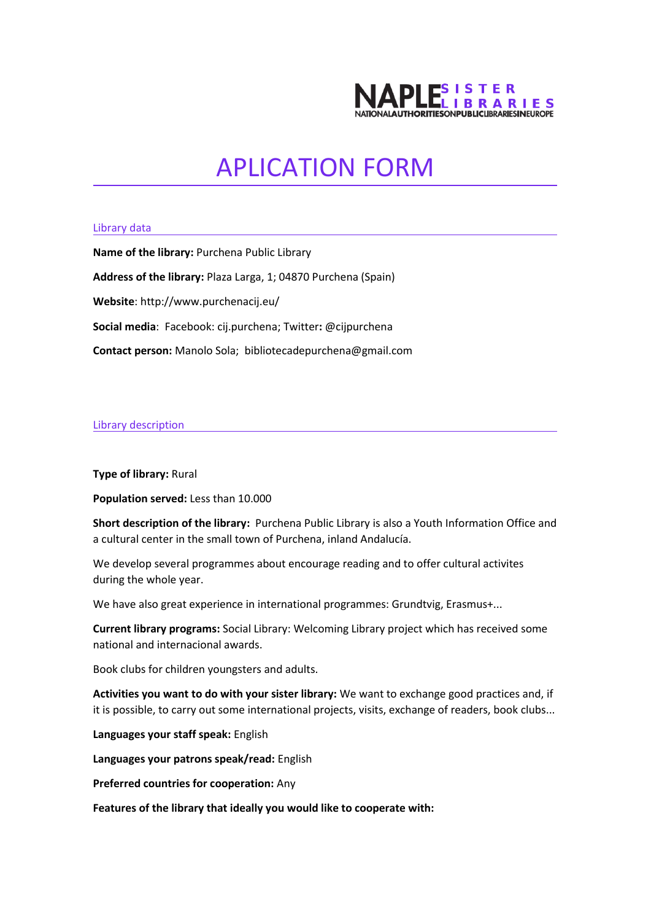

## APLICATION FORM

## Library data

**Name of the library:** Purchena Public Library **Address of the library:** Plaza Larga, 1; 04870 Purchena (Spain) **Website**: http://www.purchenacij.eu/ **Social media**: Facebook: cij.purchena; Twitter**:** @cijpurchena **Contact person:** Manolo Sola; bibliotecadepurchena@gmail.com

## Library description

**Type of library:** Rural

**Population served:** Less than 10.000

**Short description of the library:** Purchena Public Library is also a Youth Information Office and a cultural center in the small town of Purchena, inland Andalucía.

We develop several programmes about encourage reading and to offer cultural activites during the whole year.

We have also great experience in international programmes: Grundtvig, Erasmus+...

**Current library programs:** Social Library: Welcoming Library project which has received some national and internacional awards.

Book clubs for children youngsters and adults.

**Activities you want to do with your sister library:** We want to exchange good practices and, if it is possible, to carry out some international projects, visits, exchange of readers, book clubs...

**Languages your staff speak:** English

**Languages your patrons speak/read:** English

**Preferred countries for cooperation:** Any

**Features of the library that ideally you would like to cooperate with:**